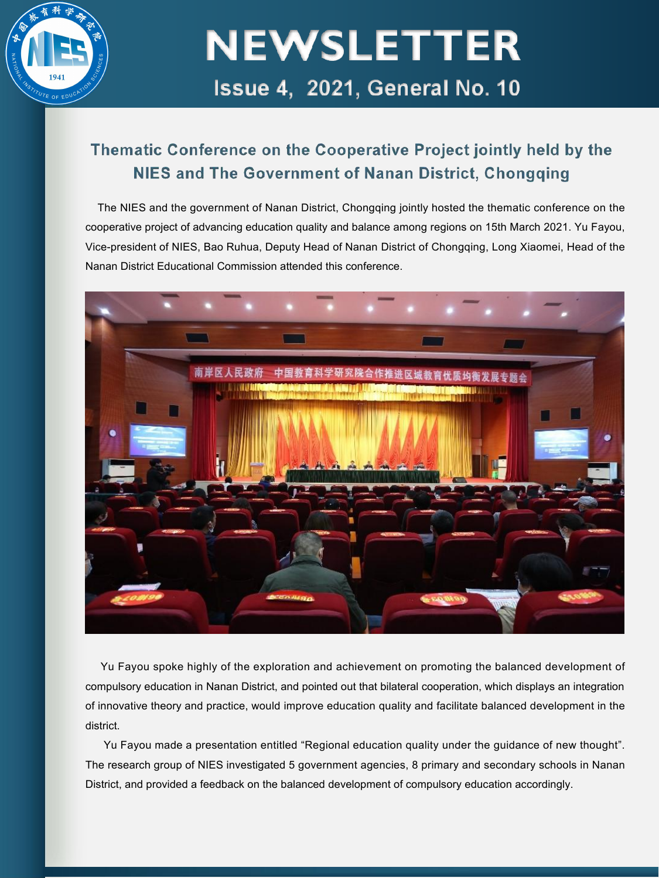

#### Thematic Conference on the Cooperative Project jointly held by the NIES and The Government of Nanan District, Chongging

The NIES and the government of Nanan District, Chongqing jointly hosted the thematic conference on the cooperative project of advancing education quality and balance among regions on 15th March 2021. Yu Fayou, Vice-president of NIES, Bao Ruhua, Deputy Head of Nanan District of Chongqing, Long Xiaomei, Head of the Nanan District Educational Commission attended this conference.



Yu Fayou spoke highly of the exploration and achievement on promoting the balanced development of compulsory education in Nanan District, and pointed out that bilateral cooperation, which displays an integration of innovative theory and practice, would improve education quality and facilitate balanced development in the district.

Yu Fayou made a presentation entitled "Regional education quality under the guidance of new thought". The research group of NIES investigated 5 government agencies, 8 primary and secondary schools in Nanan District, and provided a feedback on the balanced development of compulsory education accordingly.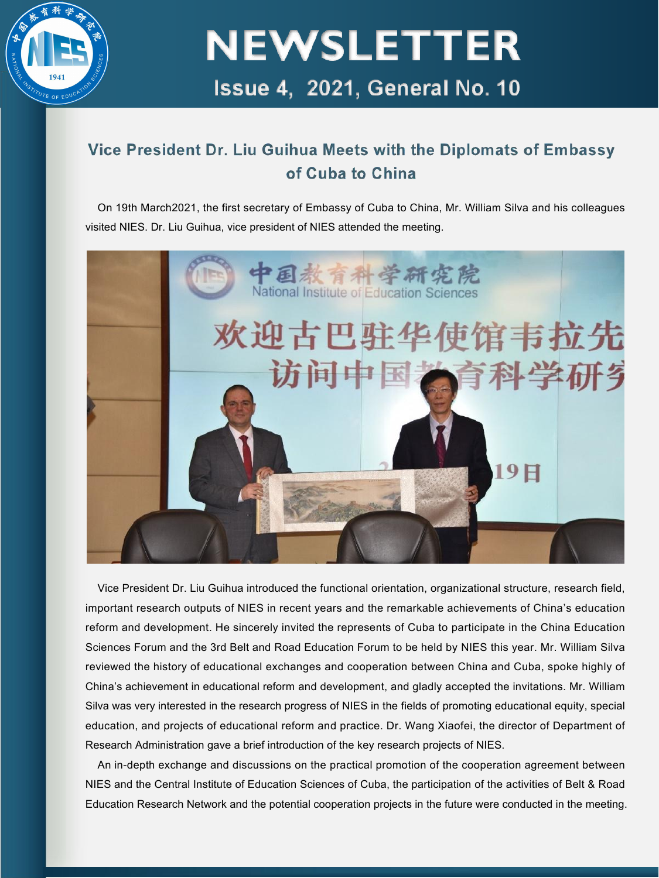

#### Vice President Dr. Liu Guihua Meets with the Diplomats of Embassy of Cuba to China

On 19th March2021, the first secretary of Embassy of Cuba to China, Mr. William Silva and his colleagues visited NIES. Dr. Liu Guihua, vice president of NIES attended the meeting.



Vice President Dr. Liu Guihua introduced the functional orientation, organizational structure, research field, important research outputs of NIES in recent years and the remarkable achievements of China's education reform and development. He sincerely invited the represents of Cuba to participate in the China Education Sciences Forum and the 3rd Belt and Road Education Forum to be held by NIES this year. Mr. William Silva reviewed the history of educational exchanges and cooperation between China and Cuba, spoke highly of China's achievement in educational reform and development, and gladly accepted the invitations. Mr. William Silva was very interested in the research progress of NIES in the fields of promoting educational equity, special education, and projects of educational reform and practice. Dr. Wang Xiaofei, the director of Department of Research Administration gave a brief introduction of the key research projects of NIES.

An in-depth exchange and discussions on the practical promotion of the cooperation agreement between NIES and the Central Institute of Education Sciences of Cuba, the participation of the activities of Belt & Road Education Research Network and the potential cooperation projects in the future were conducted in the meeting.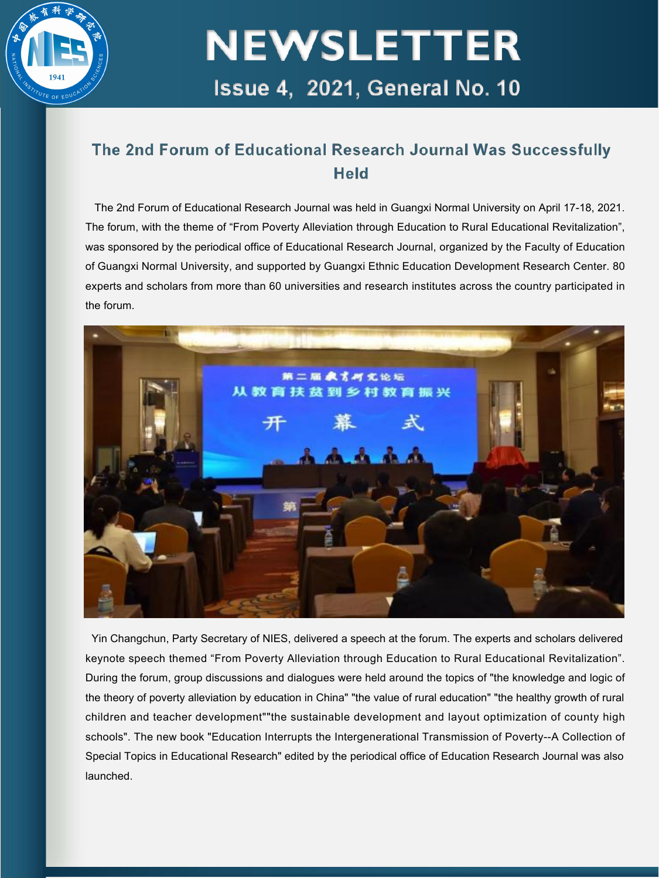

#### The 2nd Forum of Educational Research Journal Was Successfully Held

The 2nd Forum of Educational Research Journal was held in Guangxi Normal University on April 17-18, 2021. The forum, with the theme of "From Poverty Alleviation through Education to Rural Educational Revitalization", was sponsored by the periodical office of Educational Research Journal, organized by the Faculty of Education of Guangxi Normal University, and supported by Guangxi Ethnic Education Development Research Center. 80 experts and scholars from more than 60 universities and research institutes across the country participated in the forum.



Yin Changchun, Party Secretary of NIES, delivered a speech at the forum. The experts and scholars delivered keynote speech themed "From Poverty Alleviation through Education to Rural Educational Revitalization". During the forum, group discussions and dialogues were held around the topics of "the knowledge and logic of the theory of poverty alleviation by education in China" "the value of rural education" "the healthy growth of rural children and teacher development""the sustainable development and layout optimization of county high schools". The new book "Education Interrupts the Intergenerational Transmission of Poverty--A Collection of Special Topics in Educational Research" edited by the periodical office of Education Research Journal was also launched.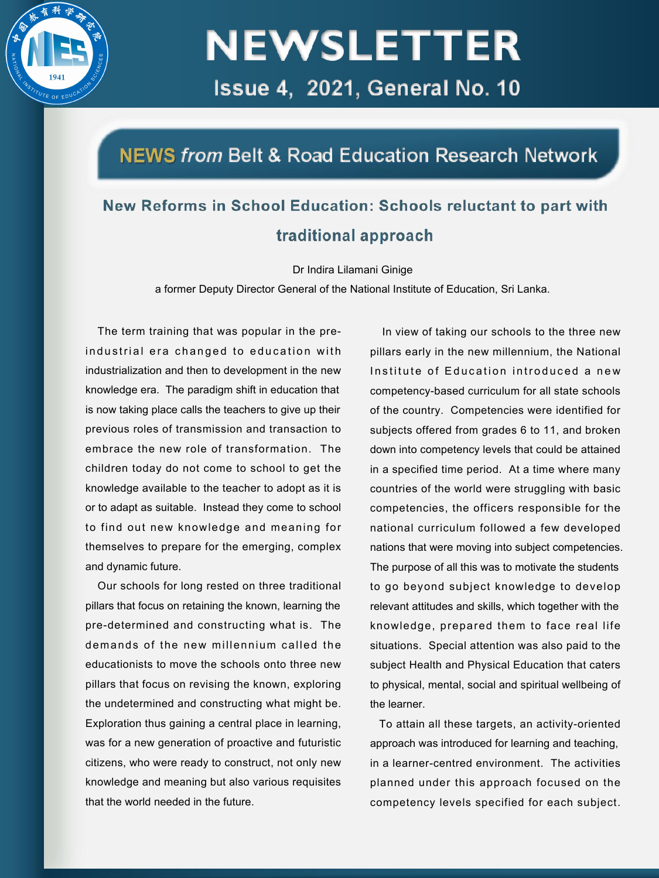

### NEWS from Belt & Road Education Research Network

### New Reforms in School Education: Schools reluctant to part with traditional approach

Dr Indira Lilamani Ginige

a former Deputy Director General of the National Institute of Education, Sri Lanka.

The term training that was popular in the preindustrial era changed to education with industrialization and then to development in the new knowledge era. The paradigm shift in education that is now taking place calls the teachers to give up their previous roles of transmission and transaction to embrace the new role of transformation. The children today do not come to school to get the knowledge available to the teacher to adopt as it is or to adapt as suitable. Instead they come to school to find out new knowledge and meaning for themselves to prepare for the emerging, complex and dynamic future.

Our schools for long rested on three traditional pillars that focus on retaining the known, learning the pre-determined and constructing what is. The demands of the new millennium called the educationists to move the schools onto three new pillars that focus on revising the known, exploring the undetermined and constructing what might be. Exploration thus gaining a central place in learning, was for a new generation of proactive and futuristic citizens, who were ready to construct, not only new knowledge and meaning but also various requisites that the world needed in the future.

In view of taking our schools to the three new pillars early in the new millennium, the National Institute of Education introduced a new competency-based curriculum for all state schools of the country. Competencies were identified for subjects offered from grades 6 to 11, and broken down into competency levels that could be attained in a specified time period. At a time where many countries of the world were struggling with basic competencies, the officers responsible for the national curriculum followed a few developed nations that were moving into subject competencies. The purpose of all this was to motivate the students to go beyond subject knowledge to develop relevant attitudes and skills, which together with the knowledge, prepared them to face real life situations. Special attention was also paid to the subject Health and Physical Education that caters to physical, mental, social and spiritual wellbeing of the learner.

To attain all these targets, an activity-oriented approach was introduced for learning and teaching, in a learner-centred environment. The activities planned under this approach focused on the competency levels specified for each subject.